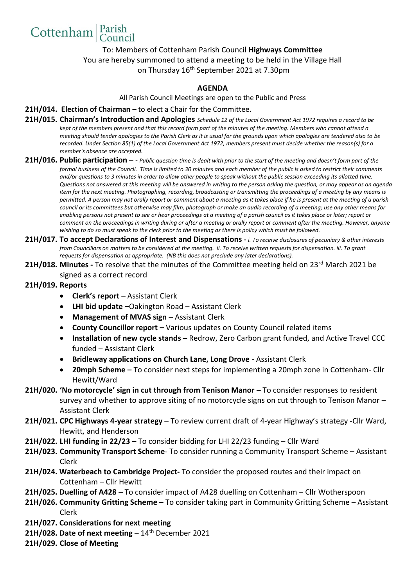To: Members of Cottenham Parish Council **Highways Committee** You are hereby summoned to attend a meeting to be held in the Village Hall on Thursday 16<sup>th</sup> September 2021 at 7.30pm

## **AGENDA**

All Parish Council Meetings are open to the Public and Press

- **21H/014. Election of Chairman –** to elect a Chair for the Committee.
- **21H/015. Chairman's Introduction and Apologies** *Schedule 12 of the Local Government Act 1972 requires a record to be kept of the members present and that this record form part of the minutes of the meeting. Members who cannot attend a meeting should tender apologies to the Parish Clerk as it is usual for the grounds upon which apologies are tendered also to be recorded. Under Section 85(1) of the Local Government Act 1972, members present must decide whether the reason(s) for a member's absence are accepted.*
- **21H/016. Public participation –** *Public question time is dealt with prior to the start of the meeting and doesn't form part of the formal business of the Council. Time is limited to 30 minutes and each member of the public is asked to restrict their comments and/or questions to 3 minutes in order to allow other people to speak without the public session exceeding its allotted time. Questions not answered at this meeting will be answered in writing to the person asking the question, or may appear as an agenda item for the next meeting. Photographing, recording, broadcasting or transmitting the proceedings of a meeting by any means is permitted. A person may not orally report or comment about a meeting as it takes place if he is present at the meeting of a parish council or its committees but otherwise may film, photograph or make an audio recording of a meeting; use any other means for enabling persons not present to see or hear proceedings at a meeting of a parish council as it takes place or later; report or comment on the proceedings in writing during or after a meeting or orally report or comment after the meeting. However, anyone wishing to do so must speak to the clerk prior to the meeting as there is policy which must be followed.*
- **21H/017. To accept Declarations of Interest and Dispensations -** *i. To receive disclosures of pecuniary & other interests from Councillors on matters to be considered at the meeting. ii. To receive written requests for dispensation. iii. To grant requests for dispensation as appropriate. (NB this does not preclude any later declarations).*
- 21H/018. Minutes To resolve that the minutes of the Committee meeting held on 23<sup>rd</sup> March 2021 be signed as a correct record

## **21H/019. Reports**

Cottenham Parish

- **Clerk's report –** Assistant Clerk
- **LHI bid update –**Oakington Road Assistant Clerk
- Management of MVAS sign Assistant Clerk
- **County Councillor report** Various updates on County Council related items
- Installation of new cycle stands Redrow, Zero Carbon grant funded, and Active Travel CCC funded – Assistant Clerk
- **Bridleway applications on Church Lane, Long Drove -** Assistant Clerk
- **20mph Scheme –** To consider next steps for implementing a 20mph zone in Cottenham- Cllr Hewitt/Ward
- **21H/020. 'No motorcycle' sign in cut through from Tenison Manor –** To consider responses to resident survey and whether to approve siting of no motorcycle signs on cut through to Tenison Manor – Assistant Clerk
- **21H/021. CPC Highways 4-year strategy –** To review current draft of 4-year Highway's strategy -Cllr Ward, Hewitt, and Henderson
- **21H/022. LHI funding in 22/23 –** To consider bidding for LHI 22/23 funding Cllr Ward
- **21H/023. Community Transport Scheme** To consider running a Community Transport Scheme Assistant Clerk
- **21H/024. Waterbeach to Cambridge Project-** To consider the proposed routes and their impact on Cottenham – Cllr Hewitt
- **21H/025. Duelling of A428 –** To consider impact of A428 duelling on Cottenham Cllr Wotherspoon
- **21H/026. Community Gritting Scheme –** To consider taking part in Community Gritting Scheme Assistant Clerk
- **21H/027. Considerations for next meeting**
- **21H/028. Date of next meeting** 14 th December 2021
- **21H/029. Close of Meeting**